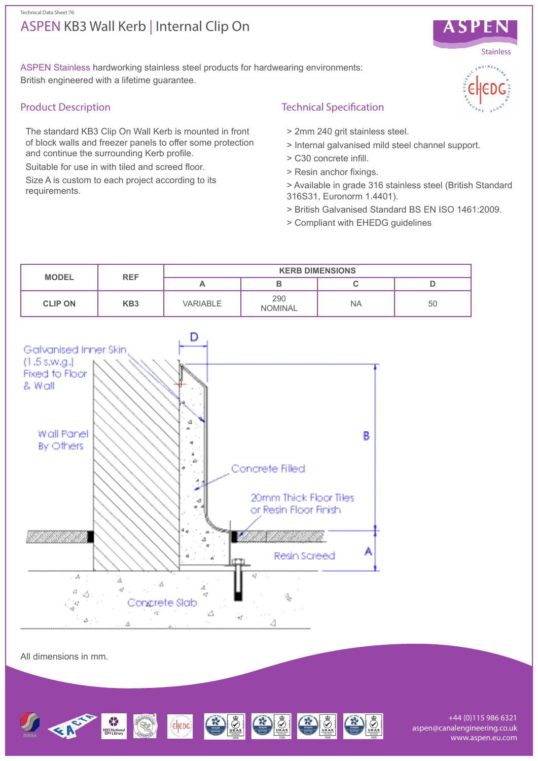# ASPEN KB3 Wall Kerb | Internal Clip On



## Product Description

The standard KB3 Clip On Wall Kerb is mounted in front of block walls and freezer panels to offer some protection and continue the surrounding Kerb profile.

Suitable for use in with tiled and screed floor.

Size A is custom to each project according to its requirements.

## Technical Specification

- > 2mm 240 grit stainless steel.
- > Internal galvanised mild steel channel support.
- > C30 concrete infill.
- > Resin anchor fixings.
- > Available in grade 316 stainless steel (British Standard 316S31, Euronorm 1.4401).
- > British Galvanised Standard BS EN ISO 1461:2009.
- > Compliant with EHEDG guidelines





All dimensions in mm.



+44 (0)115 986 6321 aspen@canalengineering.co.uk www.aspen.eu.com